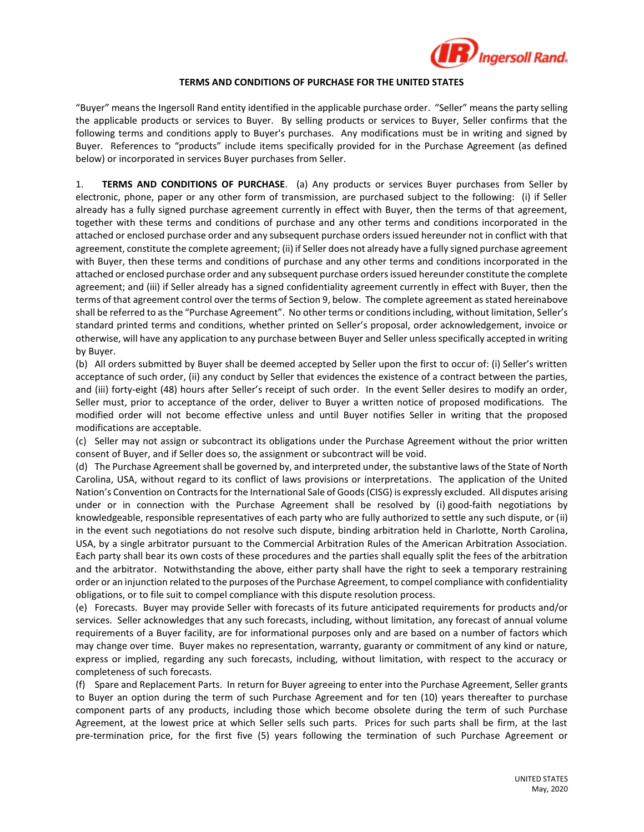

## **TERMS AND CONDITIONS OF PURCHASE FOR THE UNITED STATES**

"Buyer" means the Ingersoll Rand entity identified in the applicable purchase order. "Seller" means the party selling the applicable products or services to Buyer. By selling products or services to Buyer, Seller confirms that the following terms and conditions apply to Buyer's purchases. Any modifications must be in writing and signed by Buyer. References to "products" include items specifically provided for in the Purchase Agreement (as defined below) or incorporated in services Buyer purchases from Seller.

1. **TERMS AND CONDITIONS OF PURCHASE**. (a) Any products or services Buyer purchases from Seller by electronic, phone, paper or any other form of transmission, are purchased subject to the following: (i) if Seller already has a fully signed purchase agreement currently in effect with Buyer, then the terms of that agreement, together with these terms and conditions of purchase and any other terms and conditions incorporated in the attached or enclosed purchase order and any subsequent purchase orders issued hereunder not in conflict with that agreement, constitute the complete agreement; (ii) if Seller does not already have a fully signed purchase agreement with Buyer, then these terms and conditions of purchase and any other terms and conditions incorporated in the attached or enclosed purchase order and any subsequent purchase orders issued hereunder constitute the complete agreement; and (iii) if Seller already has a signed confidentiality agreement currently in effect with Buyer, then the terms of that agreement control over the terms of Section 9, below. The complete agreement as stated hereinabove shall be referred to as the "Purchase Agreement". No other terms or conditions including, without limitation, Seller's standard printed terms and conditions, whether printed on Seller's proposal, order acknowledgement, invoice or otherwise, will have any application to any purchase between Buyer and Seller unless specifically accepted in writing by Buyer.

(b) All orders submitted by Buyer shall be deemed accepted by Seller upon the first to occur of: (i) Seller's written acceptance of such order, (ii) any conduct by Seller that evidences the existence of a contract between the parties, and (iii) forty-eight (48) hours after Seller's receipt of such order. In the event Seller desires to modify an order, Seller must, prior to acceptance of the order, deliver to Buyer a written notice of proposed modifications. The modified order will not become effective unless and until Buyer notifies Seller in writing that the proposed modifications are acceptable.

(c) Seller may not assign or subcontract its obligations under the Purchase Agreement without the prior written consent of Buyer, and if Seller does so, the assignment or subcontract will be void.

(d) The Purchase Agreement shall be governed by, and interpreted under, the substantive laws of the State of North Carolina, USA, without regard to its conflict of laws provisions or interpretations. The application of the United Nation's Convention on Contracts for the International Sale of Goods (CISG) is expressly excluded. All disputes arising under or in connection with the Purchase Agreement shall be resolved by (i) good-faith negotiations by knowledgeable, responsible representatives of each party who are fully authorized to settle any such dispute, or (ii) in the event such negotiations do not resolve such dispute, binding arbitration held in Charlotte, North Carolina, USA, by a single arbitrator pursuant to the Commercial Arbitration Rules of the American Arbitration Association. Each party shall bear its own costs of these procedures and the parties shall equally split the fees of the arbitration and the arbitrator. Notwithstanding the above, either party shall have the right to seek a temporary restraining order or an injunction related to the purposes of the Purchase Agreement, to compel compliance with confidentiality obligations, or to file suit to compel compliance with this dispute resolution process.

(e) Forecasts. Buyer may provide Seller with forecasts of its future anticipated requirements for products and/or services. Seller acknowledges that any such forecasts, including, without limitation, any forecast of annual volume requirements of a Buyer facility, are for informational purposes only and are based on a number of factors which may change over time. Buyer makes no representation, warranty, guaranty or commitment of any kind or nature, express or implied, regarding any such forecasts, including, without limitation, with respect to the accuracy or completeness of such forecasts.

(f) Spare and Replacement Parts. In return for Buyer agreeing to enter into the Purchase Agreement, Seller grants to Buyer an option during the term of such Purchase Agreement and for ten (10) years thereafter to purchase component parts of any products, including those which become obsolete during the term of such Purchase Agreement, at the lowest price at which Seller sells such parts. Prices for such parts shall be firm, at the last pre-termination price, for the first five (5) years following the termination of such Purchase Agreement or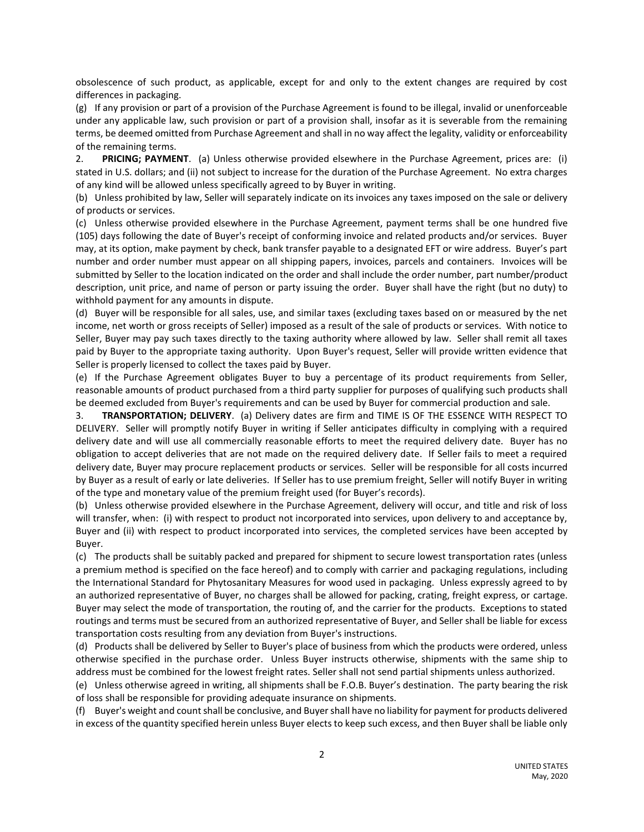obsolescence of such product, as applicable, except for and only to the extent changes are required by cost differences in packaging.

(g) If any provision or part of a provision of the Purchase Agreement is found to be illegal, invalid or unenforceable under any applicable law, such provision or part of a provision shall, insofar as it is severable from the remaining terms, be deemed omitted from Purchase Agreement and shall in no way affect the legality, validity or enforceability of the remaining terms.

2. **PRICING; PAYMENT**. (a) Unless otherwise provided elsewhere in the Purchase Agreement, prices are: (i) stated in U.S. dollars; and (ii) not subject to increase for the duration of the Purchase Agreement. No extra charges of any kind will be allowed unless specifically agreed to by Buyer in writing.

(b) Unless prohibited by law, Seller will separately indicate on its invoices any taxes imposed on the sale or delivery of products or services.

(c) Unless otherwise provided elsewhere in the Purchase Agreement, payment terms shall be one hundred five (105) days following the date of Buyer's receipt of conforming invoice and related products and/or services. Buyer may, at its option, make payment by check, bank transfer payable to a designated EFT or wire address. Buyer's part number and order number must appear on all shipping papers, invoices, parcels and containers. Invoices will be submitted by Seller to the location indicated on the order and shall include the order number, part number/product description, unit price, and name of person or party issuing the order. Buyer shall have the right (but no duty) to withhold payment for any amounts in dispute.

(d) Buyer will be responsible for all sales, use, and similar taxes (excluding taxes based on or measured by the net income, net worth or gross receipts of Seller) imposed as a result of the sale of products or services. With notice to Seller, Buyer may pay such taxes directly to the taxing authority where allowed by law. Seller shall remit all taxes paid by Buyer to the appropriate taxing authority. Upon Buyer's request, Seller will provide written evidence that Seller is properly licensed to collect the taxes paid by Buyer.

(e) If the Purchase Agreement obligates Buyer to buy a percentage of its product requirements from Seller, reasonable amounts of product purchased from a third party supplier for purposes of qualifying such products shall be deemed excluded from Buyer's requirements and can be used by Buyer for commercial production and sale.

3. **TRANSPORTATION; DELIVERY**. (a) Delivery dates are firm and TIME IS OF THE ESSENCE WITH RESPECT TO DELIVERY. Seller will promptly notify Buyer in writing if Seller anticipates difficulty in complying with a required delivery date and will use all commercially reasonable efforts to meet the required delivery date. Buyer has no obligation to accept deliveries that are not made on the required delivery date. If Seller fails to meet a required delivery date, Buyer may procure replacement products or services. Seller will be responsible for all costs incurred by Buyer as a result of early or late deliveries. If Seller has to use premium freight, Seller will notify Buyer in writing of the type and monetary value of the premium freight used (for Buyer's records).

(b) Unless otherwise provided elsewhere in the Purchase Agreement, delivery will occur, and title and risk of loss will transfer, when: (i) with respect to product not incorporated into services, upon delivery to and acceptance by, Buyer and (ii) with respect to product incorporated into services, the completed services have been accepted by Buyer.

(c) The products shall be suitably packed and prepared for shipment to secure lowest transportation rates (unless a premium method is specified on the face hereof) and to comply with carrier and packaging regulations, including the International Standard for Phytosanitary Measures for wood used in packaging. Unless expressly agreed to by an authorized representative of Buyer, no charges shall be allowed for packing, crating, freight express, or cartage. Buyer may select the mode of transportation, the routing of, and the carrier for the products. Exceptions to stated routings and terms must be secured from an authorized representative of Buyer, and Seller shall be liable for excess transportation costs resulting from any deviation from Buyer's instructions.

(d) Products shall be delivered by Seller to Buyer's place of business from which the products were ordered, unless otherwise specified in the purchase order. Unless Buyer instructs otherwise, shipments with the same ship to address must be combined for the lowest freight rates. Seller shall not send partial shipments unless authorized.

(e) Unless otherwise agreed in writing, all shipments shall be F.O.B. Buyer's destination. The party bearing the risk of loss shall be responsible for providing adequate insurance on shipments.

(f) Buyer's weight and count shall be conclusive, and Buyer shall have no liability for payment for products delivered in excess of the quantity specified herein unless Buyer elects to keep such excess, and then Buyer shall be liable only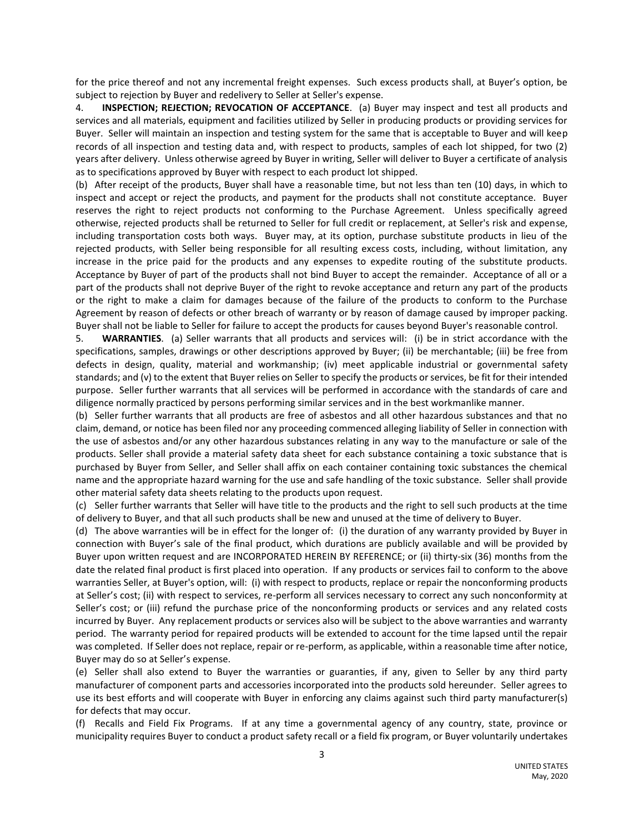for the price thereof and not any incremental freight expenses. Such excess products shall, at Buyer's option, be subject to rejection by Buyer and redelivery to Seller at Seller's expense.

4. **INSPECTION; REJECTION; REVOCATION OF ACCEPTANCE**. (a) Buyer may inspect and test all products and services and all materials, equipment and facilities utilized by Seller in producing products or providing services for Buyer. Seller will maintain an inspection and testing system for the same that is acceptable to Buyer and will keep records of all inspection and testing data and, with respect to products, samples of each lot shipped, for two (2) years after delivery. Unless otherwise agreed by Buyer in writing, Seller will deliver to Buyer a certificate of analysis as to specifications approved by Buyer with respect to each product lot shipped.

(b) After receipt of the products, Buyer shall have a reasonable time, but not less than ten (10) days, in which to inspect and accept or reject the products, and payment for the products shall not constitute acceptance. Buyer reserves the right to reject products not conforming to the Purchase Agreement. Unless specifically agreed otherwise, rejected products shall be returned to Seller for full credit or replacement, at Seller's risk and expense, including transportation costs both ways. Buyer may, at its option, purchase substitute products in lieu of the rejected products, with Seller being responsible for all resulting excess costs, including, without limitation, any increase in the price paid for the products and any expenses to expedite routing of the substitute products. Acceptance by Buyer of part of the products shall not bind Buyer to accept the remainder. Acceptance of all or a part of the products shall not deprive Buyer of the right to revoke acceptance and return any part of the products or the right to make a claim for damages because of the failure of the products to conform to the Purchase Agreement by reason of defects or other breach of warranty or by reason of damage caused by improper packing. Buyer shall not be liable to Seller for failure to accept the products for causes beyond Buyer's reasonable control.

5. **WARRANTIES**. (a) Seller warrants that all products and services will: (i) be in strict accordance with the specifications, samples, drawings or other descriptions approved by Buyer; (ii) be merchantable; (iii) be free from defects in design, quality, material and workmanship; (iv) meet applicable industrial or governmental safety standards; and (v) to the extent that Buyer relies on Seller to specify the products or services, be fit for their intended purpose. Seller further warrants that all services will be performed in accordance with the standards of care and diligence normally practiced by persons performing similar services and in the best workmanlike manner.

(b) Seller further warrants that all products are free of asbestos and all other hazardous substances and that no claim, demand, or notice has been filed nor any proceeding commenced alleging liability of Seller in connection with the use of asbestos and/or any other hazardous substances relating in any way to the manufacture or sale of the products. Seller shall provide a material safety data sheet for each substance containing a toxic substance that is purchased by Buyer from Seller, and Seller shall affix on each container containing toxic substances the chemical name and the appropriate hazard warning for the use and safe handling of the toxic substance. Seller shall provide other material safety data sheets relating to the products upon request.

(c) Seller further warrants that Seller will have title to the products and the right to sell such products at the time of delivery to Buyer, and that all such products shall be new and unused at the time of delivery to Buyer.

(d) The above warranties will be in effect for the longer of: (i) the duration of any warranty provided by Buyer in connection with Buyer's sale of the final product, which durations are publicly available and will be provided by Buyer upon written request and are INCORPORATED HEREIN BY REFERENCE; or (ii) thirty-six (36) months from the date the related final product is first placed into operation. If any products or services fail to conform to the above warranties Seller, at Buyer's option, will: (i) with respect to products, replace or repair the nonconforming products at Seller's cost; (ii) with respect to services, re-perform all services necessary to correct any such nonconformity at Seller's cost; or (iii) refund the purchase price of the nonconforming products or services and any related costs incurred by Buyer. Any replacement products or services also will be subject to the above warranties and warranty period. The warranty period for repaired products will be extended to account for the time lapsed until the repair was completed. If Seller does not replace, repair or re-perform, as applicable, within a reasonable time after notice, Buyer may do so at Seller's expense.

(e) Seller shall also extend to Buyer the warranties or guaranties, if any, given to Seller by any third party manufacturer of component parts and accessories incorporated into the products sold hereunder. Seller agrees to use its best efforts and will cooperate with Buyer in enforcing any claims against such third party manufacturer(s) for defects that may occur.

(f) Recalls and Field Fix Programs. If at any time a governmental agency of any country, state, province or municipality requires Buyer to conduct a product safety recall or a field fix program, or Buyer voluntarily undertakes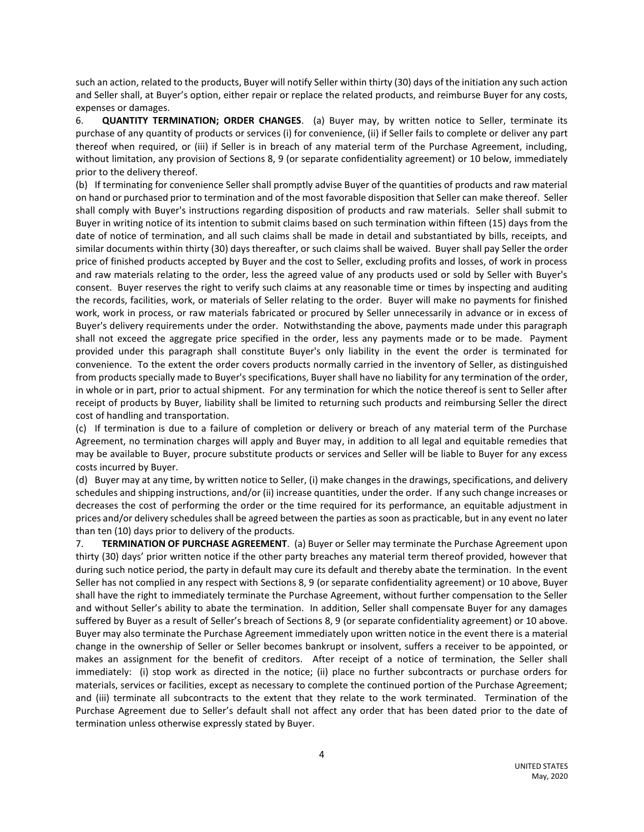such an action, related to the products, Buyer will notify Seller within thirty (30) days of the initiation any such action and Seller shall, at Buyer's option, either repair or replace the related products, and reimburse Buyer for any costs, expenses or damages.

6. **QUANTITY TERMINATION; ORDER CHANGES**. (a) Buyer may, by written notice to Seller, terminate its purchase of any quantity of products or services (i) for convenience, (ii) if Seller fails to complete or deliver any part thereof when required, or (iii) if Seller is in breach of any material term of the Purchase Agreement, including, without limitation, any provision of Sections 8, 9 (or separate confidentiality agreement) or 10 below, immediately prior to the delivery thereof.

(b) If terminating for convenience Seller shall promptly advise Buyer of the quantities of products and raw material on hand or purchased prior to termination and of the most favorable disposition that Seller can make thereof. Seller shall comply with Buyer's instructions regarding disposition of products and raw materials. Seller shall submit to Buyer in writing notice of its intention to submit claims based on such termination within fifteen (15) days from the date of notice of termination, and all such claims shall be made in detail and substantiated by bills, receipts, and similar documents within thirty (30) days thereafter, or such claims shall be waived. Buyer shall pay Seller the order price of finished products accepted by Buyer and the cost to Seller, excluding profits and losses, of work in process and raw materials relating to the order, less the agreed value of any products used or sold by Seller with Buyer's consent. Buyer reserves the right to verify such claims at any reasonable time or times by inspecting and auditing the records, facilities, work, or materials of Seller relating to the order. Buyer will make no payments for finished work, work in process, or raw materials fabricated or procured by Seller unnecessarily in advance or in excess of Buyer's delivery requirements under the order. Notwithstanding the above, payments made under this paragraph shall not exceed the aggregate price specified in the order, less any payments made or to be made. Payment provided under this paragraph shall constitute Buyer's only liability in the event the order is terminated for convenience. To the extent the order covers products normally carried in the inventory of Seller, as distinguished from products specially made to Buyer's specifications, Buyer shall have no liability for any termination of the order, in whole or in part, prior to actual shipment. For any termination for which the notice thereof is sent to Seller after receipt of products by Buyer, liability shall be limited to returning such products and reimbursing Seller the direct cost of handling and transportation.

(c) If termination is due to a failure of completion or delivery or breach of any material term of the Purchase Agreement, no termination charges will apply and Buyer may, in addition to all legal and equitable remedies that may be available to Buyer, procure substitute products or services and Seller will be liable to Buyer for any excess costs incurred by Buyer.

(d) Buyer may at any time, by written notice to Seller, (i) make changes in the drawings, specifications, and delivery schedules and shipping instructions, and/or (ii) increase quantities, under the order. If any such change increases or decreases the cost of performing the order or the time required for its performance, an equitable adjustment in prices and/or delivery schedules shall be agreed between the parties as soon as practicable, but in any event no later than ten (10) days prior to delivery of the products.

7. **TERMINATION OF PURCHASE AGREEMENT**. (a) Buyer or Seller may terminate the Purchase Agreement upon thirty (30) days' prior written notice if the other party breaches any material term thereof provided, however that during such notice period, the party in default may cure its default and thereby abate the termination. In the event Seller has not complied in any respect with Sections 8, 9 (or separate confidentiality agreement) or 10 above, Buyer shall have the right to immediately terminate the Purchase Agreement, without further compensation to the Seller and without Seller's ability to abate the termination. In addition, Seller shall compensate Buyer for any damages suffered by Buyer as a result of Seller's breach of Sections 8, 9 (or separate confidentiality agreement) or 10 above. Buyer may also terminate the Purchase Agreement immediately upon written notice in the event there is a material change in the ownership of Seller or Seller becomes bankrupt or insolvent, suffers a receiver to be appointed, or makes an assignment for the benefit of creditors. After receipt of a notice of termination, the Seller shall immediately: (i) stop work as directed in the notice; (ii) place no further subcontracts or purchase orders for materials, services or facilities, except as necessary to complete the continued portion of the Purchase Agreement; and (iii) terminate all subcontracts to the extent that they relate to the work terminated. Termination of the Purchase Agreement due to Seller's default shall not affect any order that has been dated prior to the date of termination unless otherwise expressly stated by Buyer.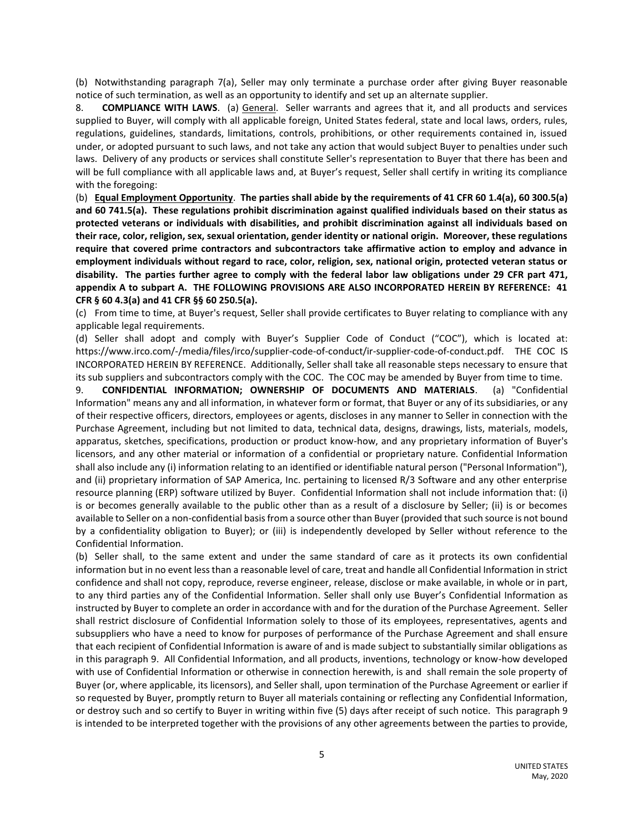(b) Notwithstanding paragraph 7(a), Seller may only terminate a purchase order after giving Buyer reasonable notice of such termination, as well as an opportunity to identify and set up an alternate supplier.

8. **COMPLIANCE WITH LAWS**. (a) General. Seller warrants and agrees that it, and all products and services supplied to Buyer, will comply with all applicable foreign, United States federal, state and local laws, orders, rules, regulations, guidelines, standards, limitations, controls, prohibitions, or other requirements contained in, issued under, or adopted pursuant to such laws, and not take any action that would subject Buyer to penalties under such laws. Delivery of any products or services shall constitute Seller's representation to Buyer that there has been and will be full compliance with all applicable laws and, at Buyer's request, Seller shall certify in writing its compliance with the foregoing:

(b) **Equal Employment Opportunity**. **The parties shall abide by the requirements of 41 CFR 60 1.4(a), 60 300.5(a) and 60 741.5(a). These regulations prohibit discrimination against qualified individuals based on their status as protected veterans or individuals with disabilities, and prohibit discrimination against all individuals based on their race, color, religion, sex, sexual orientation, gender identity or national origin. Moreover, these regulations require that covered prime contractors and subcontractors take affirmative action to employ and advance in employment individuals without regard to race, color, religion, sex, national origin, protected veteran status or disability. The parties further agree to comply with the federal labor law obligations under 29 CFR part 471, appendix A to subpart A. THE FOLLOWING PROVISIONS ARE ALSO INCORPORATED HEREIN BY REFERENCE: 41 CFR § 60 4.3(a) and 41 CFR §§ 60 250.5(a).**

(c) From time to time, at Buyer's request, Seller shall provide certificates to Buyer relating to compliance with any applicable legal requirements.

(d) Seller shall adopt and comply with Buyer's Supplier Code of Conduct ("COC"), which is located at: https://www.irco.com/-/media/files/irco/supplier-code-of-conduct/ir-supplier-code-of-conduct.pdf. THE COC IS INCORPORATED HEREIN BY REFERENCE. Additionally, Seller shall take all reasonable steps necessary to ensure that its sub suppliers and subcontractors comply with the COC. The COC may be amended by Buyer from time to time.

9. **CONFIDENTIAL INFORMATION; OWNERSHIP OF DOCUMENTS AND MATERIALS**. (a) "Confidential Information" means any and all information, in whatever form or format, that Buyer or any of its subsidiaries, or any of their respective officers, directors, employees or agents, discloses in any manner to Seller in connection with the Purchase Agreement, including but not limited to data, technical data, designs, drawings, lists, materials, models, apparatus, sketches, specifications, production or product know-how, and any proprietary information of Buyer's licensors, and any other material or information of a confidential or proprietary nature. Confidential Information shall also include any (i) information relating to an identified or identifiable natural person ("Personal Information"), and (ii) proprietary information of SAP America, Inc. pertaining to licensed R/3 Software and any other enterprise resource planning (ERP) software utilized by Buyer. Confidential Information shall not include information that: (i) is or becomes generally available to the public other than as a result of a disclosure by Seller; (ii) is or becomes available to Seller on a non-confidential basis from a source other than Buyer (provided that such source is not bound by a confidentiality obligation to Buyer); or (iii) is independently developed by Seller without reference to the Confidential Information.

(b) Seller shall, to the same extent and under the same standard of care as it protects its own confidential information but in no event less than a reasonable level of care, treat and handle all Confidential Information in strict confidence and shall not copy, reproduce, reverse engineer, release, disclose or make available, in whole or in part, to any third parties any of the Confidential Information. Seller shall only use Buyer's Confidential Information as instructed by Buyer to complete an order in accordance with and for the duration of the Purchase Agreement. Seller shall restrict disclosure of Confidential Information solely to those of its employees, representatives, agents and subsuppliers who have a need to know for purposes of performance of the Purchase Agreement and shall ensure that each recipient of Confidential Information is aware of and is made subject to substantially similar obligations as in this paragraph 9. All Confidential Information, and all products, inventions, technology or know-how developed with use of Confidential Information or otherwise in connection herewith, is and shall remain the sole property of Buyer (or, where applicable, its licensors), and Seller shall, upon termination of the Purchase Agreement or earlier if so requested by Buyer, promptly return to Buyer all materials containing or reflecting any Confidential Information, or destroy such and so certify to Buyer in writing within five (5) days after receipt of such notice. This paragraph 9 is intended to be interpreted together with the provisions of any other agreements between the parties to provide,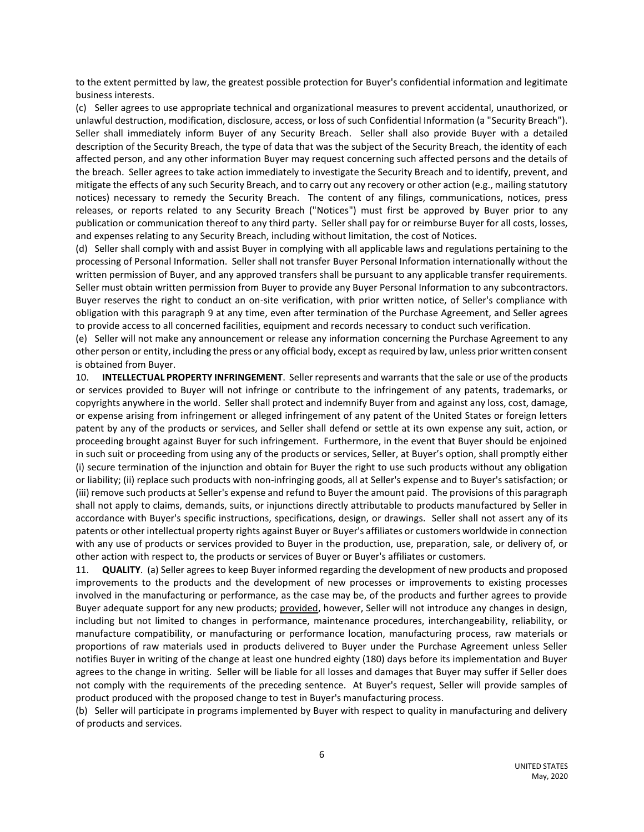to the extent permitted by law, the greatest possible protection for Buyer's confidential information and legitimate business interests.

(c) Seller agrees to use appropriate technical and organizational measures to prevent accidental, unauthorized, or unlawful destruction, modification, disclosure, access, or loss of such Confidential Information (a "Security Breach"). Seller shall immediately inform Buyer of any Security Breach. Seller shall also provide Buyer with a detailed description of the Security Breach, the type of data that was the subject of the Security Breach, the identity of each affected person, and any other information Buyer may request concerning such affected persons and the details of the breach. Seller agrees to take action immediately to investigate the Security Breach and to identify, prevent, and mitigate the effects of any such Security Breach, and to carry out any recovery or other action (e.g., mailing statutory notices) necessary to remedy the Security Breach. The content of any filings, communications, notices, press releases, or reports related to any Security Breach ("Notices") must first be approved by Buyer prior to any publication or communication thereof to any third party. Seller shall pay for or reimburse Buyer for all costs, losses, and expenses relating to any Security Breach, including without limitation, the cost of Notices.

(d) Seller shall comply with and assist Buyer in complying with all applicable laws and regulations pertaining to the processing of Personal Information. Seller shall not transfer Buyer Personal Information internationally without the written permission of Buyer, and any approved transfers shall be pursuant to any applicable transfer requirements. Seller must obtain written permission from Buyer to provide any Buyer Personal Information to any subcontractors. Buyer reserves the right to conduct an on-site verification, with prior written notice, of Seller's compliance with obligation with this paragraph 9 at any time, even after termination of the Purchase Agreement, and Seller agrees to provide access to all concerned facilities, equipment and records necessary to conduct such verification.

(e) Seller will not make any announcement or release any information concerning the Purchase Agreement to any other person or entity, including the press or any official body, except as required by law, unless prior written consent is obtained from Buyer.

10. **INTELLECTUAL PROPERTY INFRINGEMENT**. Seller represents and warrants that the sale or use of the products or services provided to Buyer will not infringe or contribute to the infringement of any patents, trademarks, or copyrights anywhere in the world. Seller shall protect and indemnify Buyer from and against any loss, cost, damage, or expense arising from infringement or alleged infringement of any patent of the United States or foreign letters patent by any of the products or services, and Seller shall defend or settle at its own expense any suit, action, or proceeding brought against Buyer for such infringement. Furthermore, in the event that Buyer should be enjoined in such suit or proceeding from using any of the products or services, Seller, at Buyer's option, shall promptly either (i) secure termination of the injunction and obtain for Buyer the right to use such products without any obligation or liability; (ii) replace such products with non-infringing goods, all at Seller's expense and to Buyer's satisfaction; or (iii) remove such products at Seller's expense and refund to Buyer the amount paid. The provisions of this paragraph shall not apply to claims, demands, suits, or injunctions directly attributable to products manufactured by Seller in accordance with Buyer's specific instructions, specifications, design, or drawings. Seller shall not assert any of its patents or other intellectual property rights against Buyer or Buyer's affiliates or customers worldwide in connection with any use of products or services provided to Buyer in the production, use, preparation, sale, or delivery of, or other action with respect to, the products or services of Buyer or Buyer's affiliates or customers.

11. **QUALITY**. (a) Seller agrees to keep Buyer informed regarding the development of new products and proposed improvements to the products and the development of new processes or improvements to existing processes involved in the manufacturing or performance, as the case may be, of the products and further agrees to provide Buyer adequate support for any new products; provided, however, Seller will not introduce any changes in design, including but not limited to changes in performance, maintenance procedures, interchangeability, reliability, or manufacture compatibility, or manufacturing or performance location, manufacturing process, raw materials or proportions of raw materials used in products delivered to Buyer under the Purchase Agreement unless Seller notifies Buyer in writing of the change at least one hundred eighty (180) days before its implementation and Buyer agrees to the change in writing. Seller will be liable for all losses and damages that Buyer may suffer if Seller does not comply with the requirements of the preceding sentence. At Buyer's request, Seller will provide samples of product produced with the proposed change to test in Buyer's manufacturing process.

(b) Seller will participate in programs implemented by Buyer with respect to quality in manufacturing and delivery of products and services.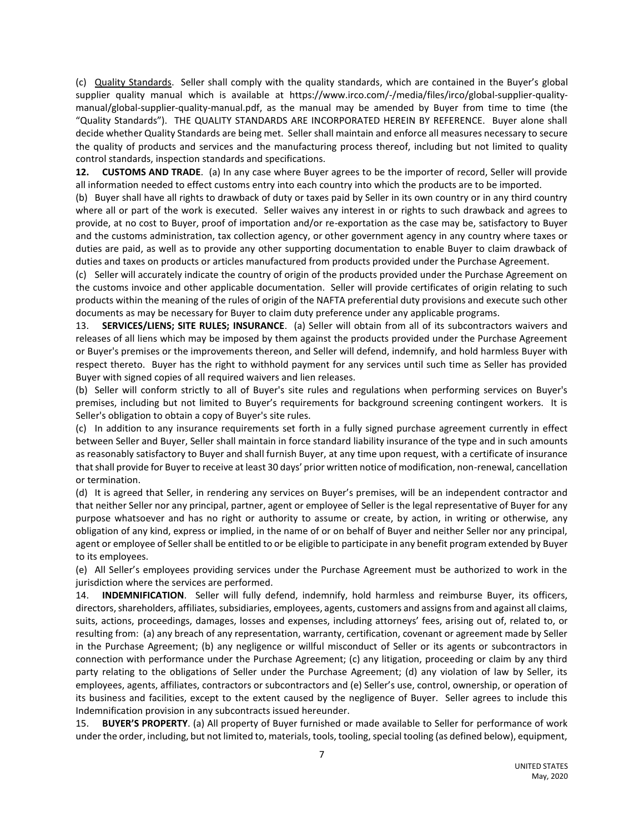(c) Quality Standards. Seller shall comply with the quality standards, which are contained in the Buyer's global supplier quality manual which is available at https://www.irco.com/-/media/files/irco/global-supplier-qualitymanual/global-supplier-quality-manual.pdf, as the manual may be amended by Buyer from time to time (the "Quality Standards"). THE QUALITY STANDARDS ARE INCORPORATED HEREIN BY REFERENCE. Buyer alone shall decide whether Quality Standards are being met. Seller shall maintain and enforce all measures necessary to secure the quality of products and services and the manufacturing process thereof, including but not limited to quality control standards, inspection standards and specifications.

**12. CUSTOMS AND TRADE**. (a) In any case where Buyer agrees to be the importer of record, Seller will provide all information needed to effect customs entry into each country into which the products are to be imported.

(b) Buyer shall have all rights to drawback of duty or taxes paid by Seller in its own country or in any third country where all or part of the work is executed. Seller waives any interest in or rights to such drawback and agrees to provide, at no cost to Buyer, proof of importation and/or re-exportation as the case may be, satisfactory to Buyer and the customs administration, tax collection agency, or other government agency in any country where taxes or duties are paid, as well as to provide any other supporting documentation to enable Buyer to claim drawback of duties and taxes on products or articles manufactured from products provided under the Purchase Agreement.

(c) Seller will accurately indicate the country of origin of the products provided under the Purchase Agreement on the customs invoice and other applicable documentation. Seller will provide certificates of origin relating to such products within the meaning of the rules of origin of the NAFTA preferential duty provisions and execute such other documents as may be necessary for Buyer to claim duty preference under any applicable programs.

13. **SERVICES/LIENS; SITE RULES; INSURANCE**. (a) Seller will obtain from all of its subcontractors waivers and releases of all liens which may be imposed by them against the products provided under the Purchase Agreement or Buyer's premises or the improvements thereon, and Seller will defend, indemnify, and hold harmless Buyer with respect thereto. Buyer has the right to withhold payment for any services until such time as Seller has provided Buyer with signed copies of all required waivers and lien releases.

(b) Seller will conform strictly to all of Buyer's site rules and regulations when performing services on Buyer's premises, including but not limited to Buyer's requirements for background screening contingent workers. It is Seller's obligation to obtain a copy of Buyer's site rules.

(c) In addition to any insurance requirements set forth in a fully signed purchase agreement currently in effect between Seller and Buyer, Seller shall maintain in force standard liability insurance of the type and in such amounts as reasonably satisfactory to Buyer and shall furnish Buyer, at any time upon request, with a certificate of insurance that shall provide for Buyer to receive at least 30 days' prior written notice of modification, non-renewal, cancellation or termination.

(d) It is agreed that Seller, in rendering any services on Buyer's premises, will be an independent contractor and that neither Seller nor any principal, partner, agent or employee of Seller is the legal representative of Buyer for any purpose whatsoever and has no right or authority to assume or create, by action, in writing or otherwise, any obligation of any kind, express or implied, in the name of or on behalf of Buyer and neither Seller nor any principal, agent or employee of Seller shall be entitled to or be eligible to participate in any benefit program extended by Buyer to its employees.

(e) All Seller's employees providing services under the Purchase Agreement must be authorized to work in the jurisdiction where the services are performed.

14. **INDEMNIFICATION**. Seller will fully defend, indemnify, hold harmless and reimburse Buyer, its officers, directors, shareholders, affiliates, subsidiaries, employees, agents, customers and assigns from and against all claims, suits, actions, proceedings, damages, losses and expenses, including attorneys' fees, arising out of, related to, or resulting from: (a) any breach of any representation, warranty, certification, covenant or agreement made by Seller in the Purchase Agreement; (b) any negligence or willful misconduct of Seller or its agents or subcontractors in connection with performance under the Purchase Agreement; (c) any litigation, proceeding or claim by any third party relating to the obligations of Seller under the Purchase Agreement; (d) any violation of law by Seller, its employees, agents, affiliates, contractors or subcontractors and (e) Seller's use, control, ownership, or operation of its business and facilities, except to the extent caused by the negligence of Buyer. Seller agrees to include this Indemnification provision in any subcontracts issued hereunder.

15. **BUYER'S PROPERTY**. (a) All property of Buyer furnished or made available to Seller for performance of work under the order, including, but not limited to, materials, tools, tooling, special tooling (as defined below), equipment,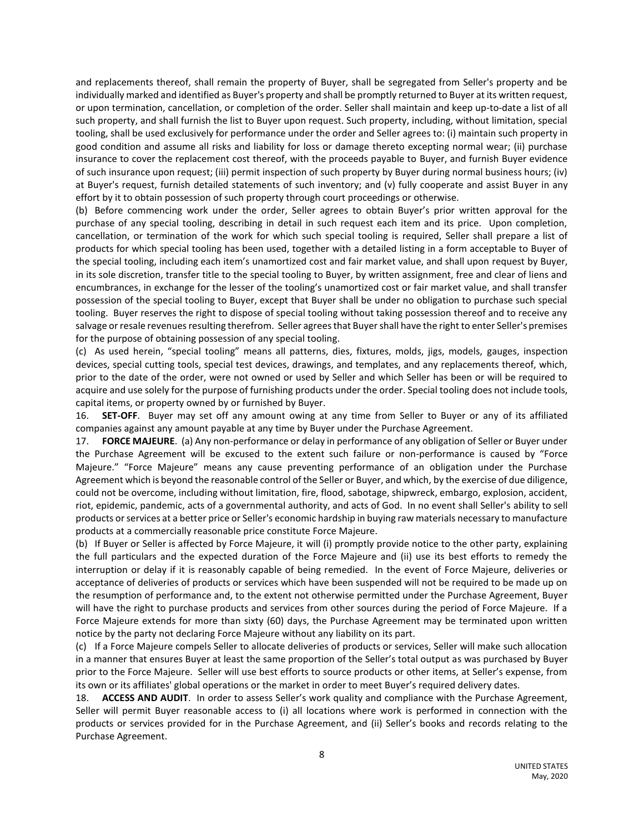and replacements thereof, shall remain the property of Buyer, shall be segregated from Seller's property and be individually marked and identified as Buyer's property and shall be promptly returned to Buyer at its written request, or upon termination, cancellation, or completion of the order. Seller shall maintain and keep up-to-date a list of all such property, and shall furnish the list to Buyer upon request. Such property, including, without limitation, special tooling, shall be used exclusively for performance under the order and Seller agrees to: (i) maintain such property in good condition and assume all risks and liability for loss or damage thereto excepting normal wear; (ii) purchase insurance to cover the replacement cost thereof, with the proceeds payable to Buyer, and furnish Buyer evidence of such insurance upon request; (iii) permit inspection of such property by Buyer during normal business hours; (iv) at Buyer's request, furnish detailed statements of such inventory; and (v) fully cooperate and assist Buyer in any effort by it to obtain possession of such property through court proceedings or otherwise.

(b) Before commencing work under the order, Seller agrees to obtain Buyer's prior written approval for the purchase of any special tooling, describing in detail in such request each item and its price. Upon completion, cancellation, or termination of the work for which such special tooling is required, Seller shall prepare a list of products for which special tooling has been used, together with a detailed listing in a form acceptable to Buyer of the special tooling, including each item's unamortized cost and fair market value, and shall upon request by Buyer, in its sole discretion, transfer title to the special tooling to Buyer, by written assignment, free and clear of liens and encumbrances, in exchange for the lesser of the tooling's unamortized cost or fair market value, and shall transfer possession of the special tooling to Buyer, except that Buyer shall be under no obligation to purchase such special tooling. Buyer reserves the right to dispose of special tooling without taking possession thereof and to receive any salvage or resale revenues resulting therefrom. Seller agrees that Buyer shall have the right to enter Seller's premises for the purpose of obtaining possession of any special tooling.

(c) As used herein, "special tooling" means all patterns, dies, fixtures, molds, jigs, models, gauges, inspection devices, special cutting tools, special test devices, drawings, and templates, and any replacements thereof, which, prior to the date of the order, were not owned or used by Seller and which Seller has been or will be required to acquire and use solely for the purpose of furnishing products under the order. Special tooling does not include tools, capital items, or property owned by or furnished by Buyer.

16. **SET-OFF**. Buyer may set off any amount owing at any time from Seller to Buyer or any of its affiliated companies against any amount payable at any time by Buyer under the Purchase Agreement.

17. **FORCE MAJEURE**. (a) Any non-performance or delay in performance of any obligation of Seller or Buyer under the Purchase Agreement will be excused to the extent such failure or non-performance is caused by "Force Majeure." "Force Majeure" means any cause preventing performance of an obligation under the Purchase Agreement which is beyond the reasonable control of the Seller or Buyer, and which, by the exercise of due diligence, could not be overcome, including without limitation, fire, flood, sabotage, shipwreck, embargo, explosion, accident, riot, epidemic, pandemic, acts of a governmental authority, and acts of God. In no event shall Seller's ability to sell products or services at a better price or Seller's economic hardship in buying raw materials necessary to manufacture products at a commercially reasonable price constitute Force Majeure.

(b) If Buyer or Seller is affected by Force Majeure, it will (i) promptly provide notice to the other party, explaining the full particulars and the expected duration of the Force Majeure and (ii) use its best efforts to remedy the interruption or delay if it is reasonably capable of being remedied. In the event of Force Majeure, deliveries or acceptance of deliveries of products or services which have been suspended will not be required to be made up on the resumption of performance and, to the extent not otherwise permitted under the Purchase Agreement, Buyer will have the right to purchase products and services from other sources during the period of Force Majeure. If a Force Majeure extends for more than sixty (60) days, the Purchase Agreement may be terminated upon written notice by the party not declaring Force Majeure without any liability on its part.

(c) If a Force Majeure compels Seller to allocate deliveries of products or services, Seller will make such allocation in a manner that ensures Buyer at least the same proportion of the Seller's total output as was purchased by Buyer prior to the Force Majeure. Seller will use best efforts to source products or other items, at Seller's expense, from its own or its affiliates' global operations or the market in order to meet Buyer's required delivery dates.

18. **ACCESS AND AUDIT**. In order to assess Seller's work quality and compliance with the Purchase Agreement, Seller will permit Buyer reasonable access to (i) all locations where work is performed in connection with the products or services provided for in the Purchase Agreement, and (ii) Seller's books and records relating to the Purchase Agreement.